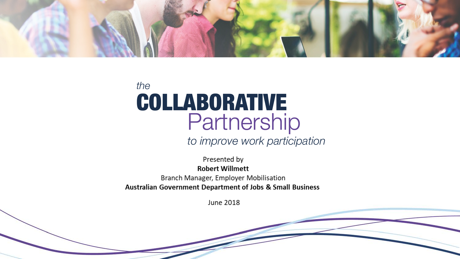

# the **COLLABORATIVE** Partnership

to improve work participation

Presented by **Robert Willmett** Branch Manager, Employer Mobilisation Australian Government Department of Jobs & Small Business

June 2018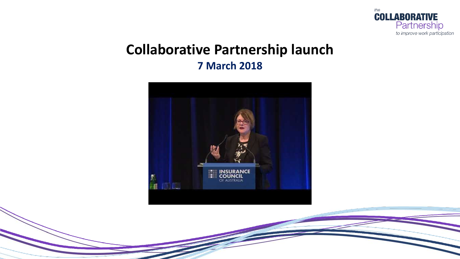

### **Collaborative Partnership launch 7 March 2018**

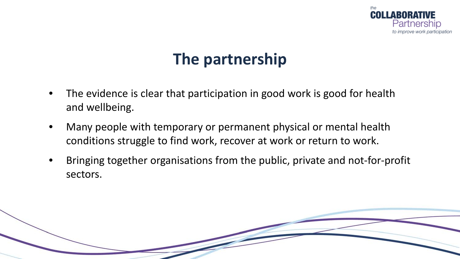

## **The partnership**

- The evidence is clear that participation in good work is good for health and wellbeing.
- Many people with temporary or permanent physical or mental health conditions struggle to find work, recover at work or return to work.
- Bringing together organisations from the public, private and not-for-profit sectors.

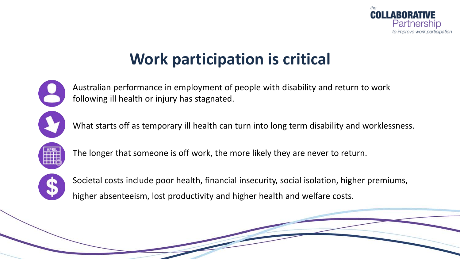

## **Work participation is critical**



Australian performance in employment of people with disability and return to work following ill health or injury has stagnated.

What starts off as temporary ill health can turn into long term disability and worklessness.



The longer that someone is off work, the more likely they are never to return.



Societal costs include poor health, financial insecurity, social isolation, higher premiums, higher absenteeism, lost productivity and higher health and welfare costs.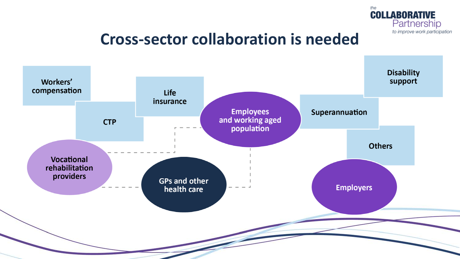

### **Cross-sector collaboration is needed**

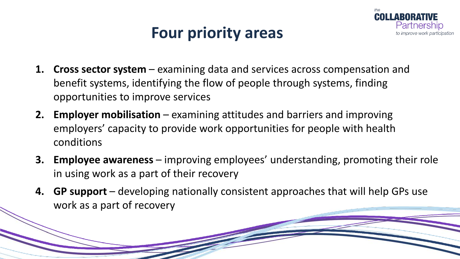## **Four priority areas**



- **1. Cross sector system**  examining data and services across compensation and benefit systems, identifying the flow of people through systems, finding opportunities to improve services
- **2. Employer mobilisation** examining attitudes and barriers and improving employers' capacity to provide work opportunities for people with health conditions
- **3. Employee awareness**  improving employees' understanding, promoting their role in using work as a part of their recovery
- **4. GP support**  developing nationally consistent approaches that will help GPs use work as a part of recovery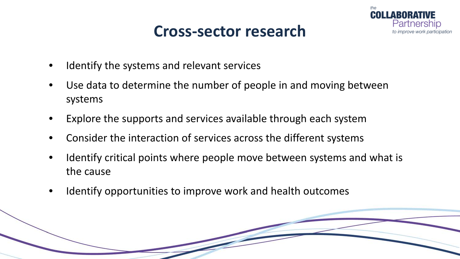### **Cross-sector research**



- Identify the systems and relevant services
- Use data to determine the number of people in and moving between systems
- Explore the supports and services available through each system
- Consider the interaction of services across the different systems
- Identify critical points where people move between systems and what is the cause
- Identify opportunities to improve work and health outcomes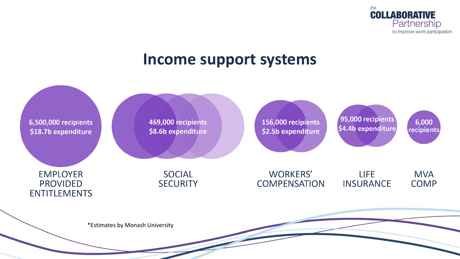

### **Income support systems**

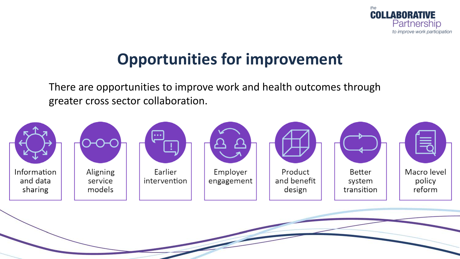

## **Opportunities for improvement**

There are opportunities to improve work and health outcomes through greater cross sector collaboration.

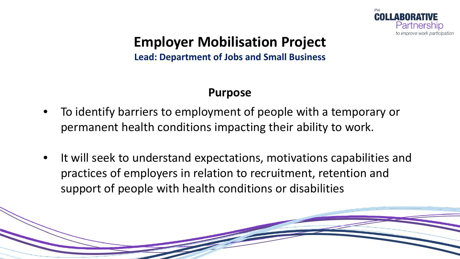

**Lead: Department of Jobs and Small Business**

#### **Purpose**

- To identify barriers to employment of people with a temporary or permanent health conditions impacting their ability to work.
- It will seek to understand expectations, motivations capabilities and practices of employers in relation to recruitment, retention and support of people with health conditions or disabilities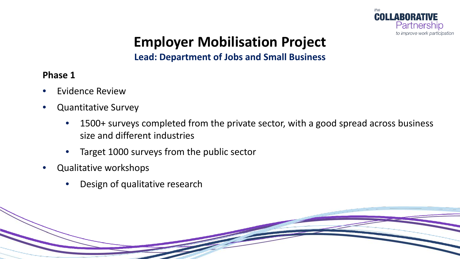

#### **Lead: Department of Jobs and Small Business**

**Phase 1** 

- Evidence Review
- Quantitative Survey
	- 1500+ surveys completed from the private sector, with a good spread across business size and different industries
	- Target 1000 surveys from the public sector
- Qualitative workshops
	- Design of qualitative research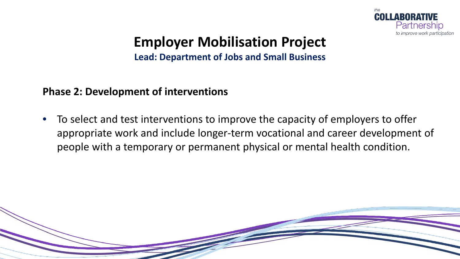

**Lead: Department of Jobs and Small Business**

#### **Phase 2: Development of interventions**

• To select and test interventions to improve the capacity of employers to offer appropriate work and include longer-term vocational and career development of people with a temporary or permanent physical or mental health condition.

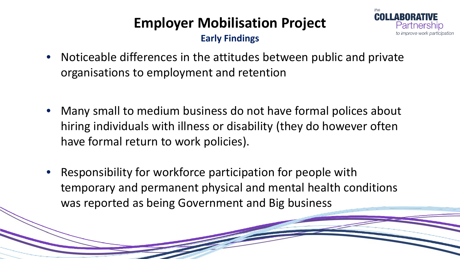Partnershin

**Early Findings**

- Noticeable differences in the attitudes between public and private organisations to employment and retention
- Many small to medium business do not have formal polices about hiring individuals with illness or disability (they do however often have formal return to work policies).
- Responsibility for workforce participation for people with temporary and permanent physical and mental health conditions was reported as being Government and Big business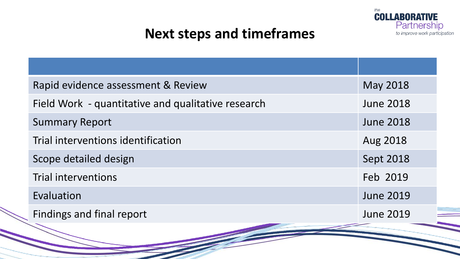

### **Next steps and timeframes**

| Rapid evidence assessment & Review                 | May 2018         |
|----------------------------------------------------|------------------|
| Field Work - quantitative and qualitative research | <b>June 2018</b> |
| <b>Summary Report</b>                              | <b>June 2018</b> |
| Trial interventions identification                 | Aug 2018         |
| Scope detailed design                              | Sept 2018        |
| Trial interventions                                | Feb 2019         |
| Evaluation                                         | <b>June 2019</b> |
| Findings and final report                          | <b>June 2019</b> |
|                                                    |                  |
|                                                    |                  |